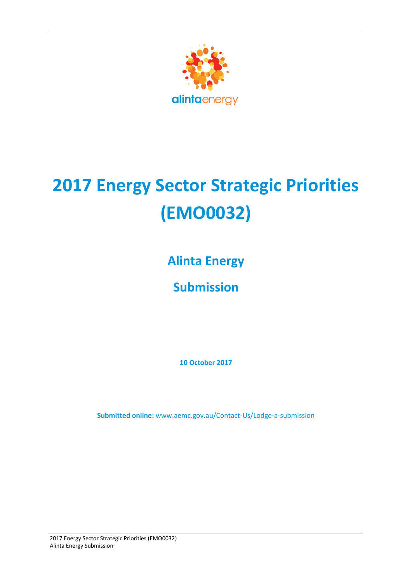

# **2017 Energy Sector Strategic Priorities (EMO0032)**

**Alinta Energy**

**Submission**

**10 October 2017**

**Submitted online:** [www.aemc.gov.au/Contact-Us/Lodge-a-submission](http://www.aemc.gov.au/contact-Us/Lodge-a-submission)

2017 Energy Sector Strategic Priorities (EMO0032) Alinta Energy Submission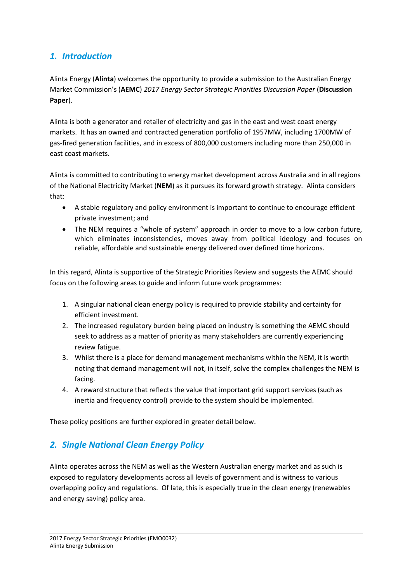# *1. Introduction*

Alinta Energy (**Alinta**) welcomes the opportunity to provide a submission to the Australian Energy Market Commission's (**AEMC**) *2017 Energy Sector Strategic Priorities Discussion Paper* (**Discussion Paper**).

Alinta is both a generator and retailer of electricity and gas in the east and west coast energy markets. It has an owned and contracted generation portfolio of 1957MW, including 1700MW of gas-fired generation facilities, and in excess of 800,000 customers including more than 250,000 in east coast markets.

Alinta is committed to contributing to energy market development across Australia and in all regions of the National Electricity Market (**NEM**) as it pursues its forward growth strategy. Alinta considers that:

- A stable regulatory and policy environment is important to continue to encourage efficient private investment; and
- The NEM requires a "whole of system" approach in order to move to a low carbon future, which eliminates inconsistencies, moves away from political ideology and focuses on reliable, affordable and sustainable energy delivered over defined time horizons.

In this regard, Alinta is supportive of the Strategic Priorities Review and suggests the AEMC should focus on the following areas to guide and inform future work programmes:

- 1. A singular national clean energy policy is required to provide stability and certainty for efficient investment.
- 2. The increased regulatory burden being placed on industry is something the AEMC should seek to address as a matter of priority as many stakeholders are currently experiencing review fatigue.
- 3. Whilst there is a place for demand management mechanisms within the NEM, it is worth noting that demand management will not, in itself, solve the complex challenges the NEM is facing.
- 4. A reward structure that reflects the value that important grid support services (such as inertia and frequency control) provide to the system should be implemented.

These policy positions are further explored in greater detail below.

# *2. Single National Clean Energy Policy*

Alinta operates across the NEM as well as the Western Australian energy market and as such is exposed to regulatory developments across all levels of government and is witness to various overlapping policy and regulations. Of late, this is especially true in the clean energy (renewables and energy saving) policy area.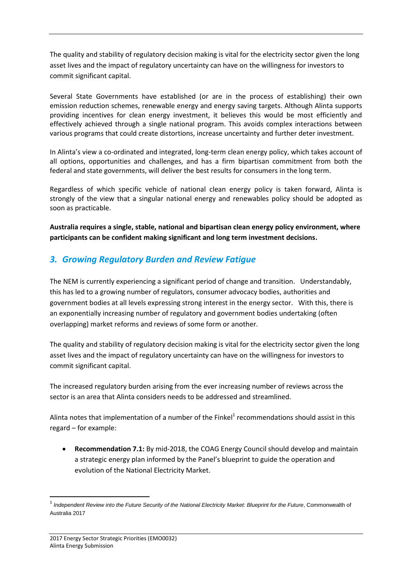The quality and stability of regulatory decision making is vital for the electricity sector given the long asset lives and the impact of regulatory uncertainty can have on the willingness for investors to commit significant capital.

Several State Governments have established (or are in the process of establishing) their own emission reduction schemes, renewable energy and energy saving targets. Although Alinta supports providing incentives for clean energy investment, it believes this would be most efficiently and effectively achieved through a single national program. This avoids complex interactions between various programs that could create distortions, increase uncertainty and further deter investment.

In Alinta's view a co-ordinated and integrated, long-term clean energy policy, which takes account of all options, opportunities and challenges, and has a firm bipartisan commitment from both the federal and state governments, will deliver the best results for consumers in the long term.

Regardless of which specific vehicle of national clean energy policy is taken forward, Alinta is strongly of the view that a singular national energy and renewables policy should be adopted as soon as practicable.

**Australia requires a single, stable, national and bipartisan clean energy policy environment, where participants can be confident making significant and long term investment decisions.**

### *3. Growing Regulatory Burden and Review Fatigue*

The NEM is currently experiencing a significant period of change and transition. Understandably, this has led to a growing number of regulators, consumer advocacy bodies, authorities and government bodies at all levels expressing strong interest in the energy sector. With this, there is an exponentially increasing number of regulatory and government bodies undertaking (often overlapping) market reforms and reviews of some form or another.

The quality and stability of regulatory decision making is vital for the electricity sector given the long asset lives and the impact of regulatory uncertainty can have on the willingness for investors to commit significant capital.

The increased regulatory burden arising from the ever increasing number of reviews across the sector is an area that Alinta considers needs to be addressed and streamlined.

Alinta notes that implementation of a number of the Finkel<sup>1</sup> recommendations should assist in this regard – for example:

 **Recommendation 7.1:** By mid-2018, the COAG Energy Council should develop and maintain a strategic energy plan informed by the Panel's blueprint to guide the operation and evolution of the National Electricity Market.

**.** 

<sup>&</sup>lt;sup>1</sup> Independent Review into the Future Security of the National Electricity Market: Blueprint for the Future, Commonwealth of Australia 2017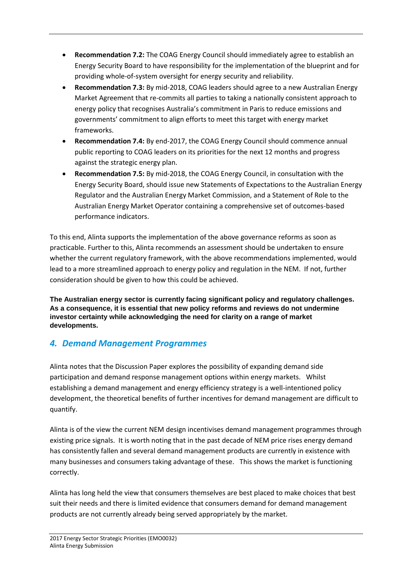- **Recommendation 7.2:** The COAG Energy Council should immediately agree to establish an Energy Security Board to have responsibility for the implementation of the blueprint and for providing whole-of-system oversight for energy security and reliability.
- **Recommendation 7.3:** By mid-2018, COAG leaders should agree to a new Australian Energy Market Agreement that re-commits all parties to taking a nationally consistent approach to energy policy that recognises Australia's commitment in Paris to reduce emissions and governments' commitment to align efforts to meet this target with energy market frameworks.
- **Recommendation 7.4:** By end-2017, the COAG Energy Council should commence annual public reporting to COAG leaders on its priorities for the next 12 months and progress against the strategic energy plan.
- **Recommendation 7.5:** By mid-2018, the COAG Energy Council, in consultation with the Energy Security Board, should issue new Statements of Expectations to the Australian Energy Regulator and the Australian Energy Market Commission, and a Statement of Role to the Australian Energy Market Operator containing a comprehensive set of outcomes-based performance indicators.

To this end, Alinta supports the implementation of the above governance reforms as soon as practicable. Further to this, Alinta recommends an assessment should be undertaken to ensure whether the current regulatory framework, with the above recommendations implemented, would lead to a more streamlined approach to energy policy and regulation in the NEM. If not, further consideration should be given to how this could be achieved.

**The Australian energy sector is currently facing significant policy and regulatory challenges. As a consequence, it is essential that new policy reforms and reviews do not undermine investor certainty while acknowledging the need for clarity on a range of market developments.** 

# *4. Demand Management Programmes*

Alinta notes that the Discussion Paper explores the possibility of expanding demand side participation and demand response management options within energy markets. Whilst establishing a demand management and energy efficiency strategy is a well-intentioned policy development, the theoretical benefits of further incentives for demand management are difficult to quantify.

Alinta is of the view the current NEM design incentivises demand management programmes through existing price signals. It is worth noting that in the past decade of NEM price rises energy demand has consistently fallen and several demand management products are currently in existence with many businesses and consumers taking advantage of these. This shows the market is functioning correctly.

Alinta has long held the view that consumers themselves are best placed to make choices that best suit their needs and there is limited evidence that consumers demand for demand management products are not currently already being served appropriately by the market.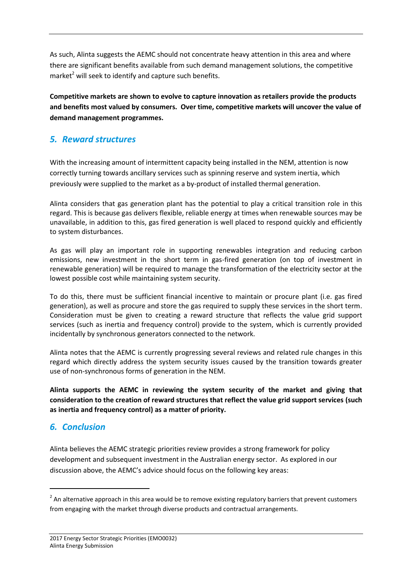As such, Alinta suggests the AEMC should not concentrate heavy attention in this area and where there are significant benefits available from such demand management solutions, the competitive market<sup>2</sup> will seek to identify and capture such benefits.

**Competitive markets are shown to evolve to capture innovation as retailers provide the products and benefits most valued by consumers. Over time, competitive markets will uncover the value of demand management programmes.**

# *5. Reward structures*

With the increasing amount of intermittent capacity being installed in the NEM, attention is now correctly turning towards ancillary services such as spinning reserve and system inertia, which previously were supplied to the market as a by-product of installed thermal generation.

Alinta considers that gas generation plant has the potential to play a critical transition role in this regard. This is because gas delivers flexible, reliable energy at times when renewable sources may be unavailable, in addition to this, gas fired generation is well placed to respond quickly and efficiently to system disturbances.

As gas will play an important role in supporting renewables integration and reducing carbon emissions, new investment in the short term in gas-fired generation (on top of investment in renewable generation) will be required to manage the transformation of the electricity sector at the lowest possible cost while maintaining system security.

To do this, there must be sufficient financial incentive to maintain or procure plant (i.e. gas fired generation), as well as procure and store the gas required to supply these services in the short term. Consideration must be given to creating a reward structure that reflects the value grid support services (such as inertia and frequency control) provide to the system, which is currently provided incidentally by synchronous generators connected to the network.

Alinta notes that the AEMC is currently progressing several reviews and related rule changes in this regard which directly address the system security issues caused by the transition towards greater use of non-synchronous forms of generation in the NEM.

**Alinta supports the AEMC in reviewing the system security of the market and giving that consideration to the creation of reward structures that reflect the value grid support services (such as inertia and frequency control) as a matter of priority.**

#### *6. Conclusion*

**.** 

Alinta believes the AEMC strategic priorities review provides a strong framework for policy development and subsequent investment in the Australian energy sector. As explored in our discussion above, the AEMC's advice should focus on the following key areas:

 $2$  An alternative approach in this area would be to remove existing regulatory barriers that prevent customers from engaging with the market through diverse products and contractual arrangements.